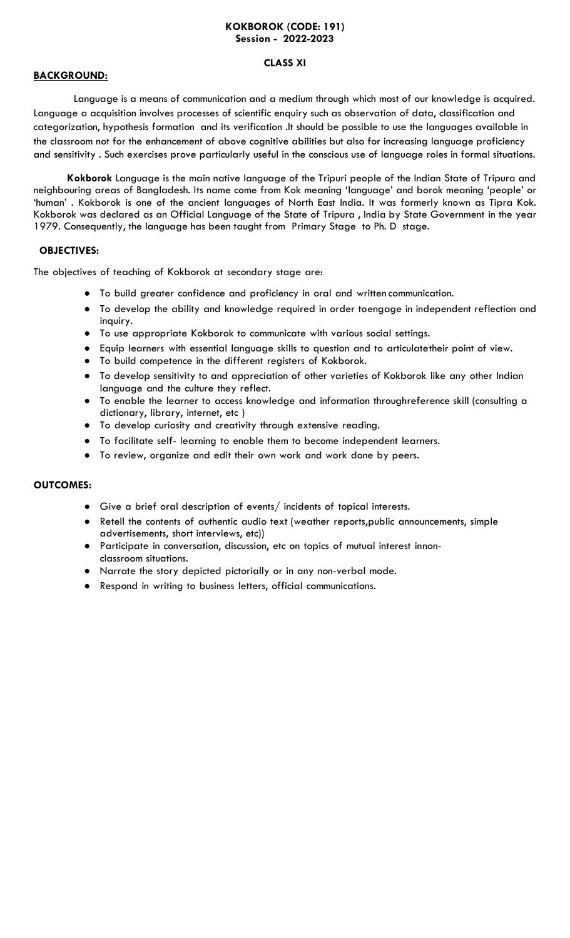## **KOKBOROK (CODE: 191) Session - 2022-2023**

#### **CLASS XI**

## **BACKGROUND:**

 Language is a means of communication and a medium through which most of our knowledge is acquired. Language a acquisition involves processes of scientific enquiry such as observation of data, classification and categorization, hypothesis formation and its verification .It should be possible to use the languages available in the classroom not for the enhancement of above cognitive abilities but also for increasing language proficiency and sensitivity . Such exercises prove particularly useful in the conscious use of language roles in formal situations.

**Kokborok** Language is the main native language of the Tripuri people of the Indian State of Tripura and neighbouring areas of Bangladesh. Its name come from Kok meaning 'language' and borok meaning 'people' or 'human' . Kokborok is one of the ancient languages of North East India. It was formerly known as Tipra Kok. Kokborok was declared as an Official Language of the State of Tripura , India by State Government in the year 1979. Consequently, the language has been taught from Primary Stage to Ph. D stage.

## **OBJECTIVES:**

The objectives of teaching of Kokborok at secondary stage are:

- To build greater confidence and proficiency in oral and written communication.
- To develop the ability and knowledge required in order toengage in independent reflection and inquiry.
- To use appropriate Kokborok to communicate with various social settings.
- Equip learners with essential language skills to question and to articulatetheir point of view.
- To build competence in the different registers of Kokborok.
- To develop sensitivity to and appreciation of other varieties of Kokborok like any other Indian language and the culture they reflect.
- To enable the learner to access knowledge and information throughreference skill (consulting a dictionary, library, internet, etc )
- To develop curiosity and creativity through extensive reading.
- To facilitate self- learning to enable them to become independent learners.
- To review, organize and edit their own work and work done by peers.

## **OUTCOMES:**

- Give a brief oral description of events/ incidents of topical interests.
- Retell the contents of authentic audio text (weather reports,public announcements, simple advertisements, short interviews, etc))
- Participate in conversation, discussion, etc on topics of mutual interest innonclassroom situations.
- Narrate the story depicted pictorially or in any non-verbal mode.
- Respond in writing to business letters, official communications.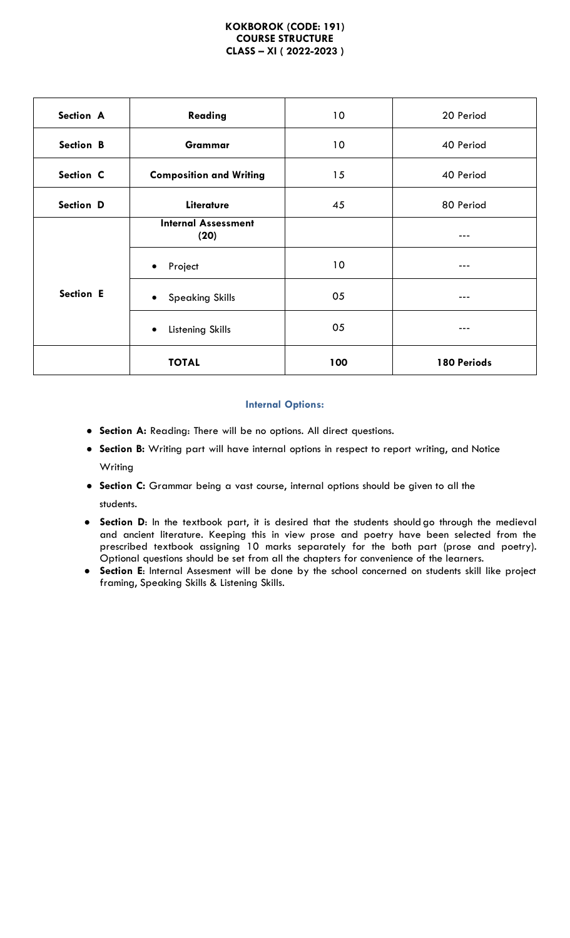#### **KOKBOROK (CODE: 191) COURSE STRUCTURE CLASS – XI ( 2022-2023 )**

| Section A | Reading                             | 10              | 20 Period   |
|-----------|-------------------------------------|-----------------|-------------|
| Section B | Grammar                             | 10              | 40 Period   |
| Section C | <b>Composition and Writing</b>      | 15              | 40 Period   |
| Section D | Literature                          | 45              | 80 Period   |
|           | <b>Internal Assessment</b><br>(20)  |                 | ---         |
|           | Project<br>$\bullet$                | 10 <sup>°</sup> | ---         |
| Section E | <b>Speaking Skills</b><br>$\bullet$ | 05              | ---         |
|           | Listening Skills<br>$\bullet$       | 05              | $--$        |
|           | <b>TOTAL</b>                        | 100             | 180 Periods |

## **Internal Options:**

- **Section A:** Reading: There will be no options. All direct questions.
- **Section B:** Writing part will have internal options in respect to report writing, and Notice Writing
- **Section C:** Grammar being a vast course, internal options should be given to all the students.
- **Section D**: In the textbook part, it is desired that the students should go through the medieval and ancient literature. Keeping this in view prose and poetry have been selected from the prescribed textbook assigning 10 marks separately for the both part (prose and poetry). Optional questions should be set from all the chapters for convenience of the learners.
- **Section E**: Internal Assesment will be done by the school concerned on students skill like project framing, Speaking Skills & Listening Skills.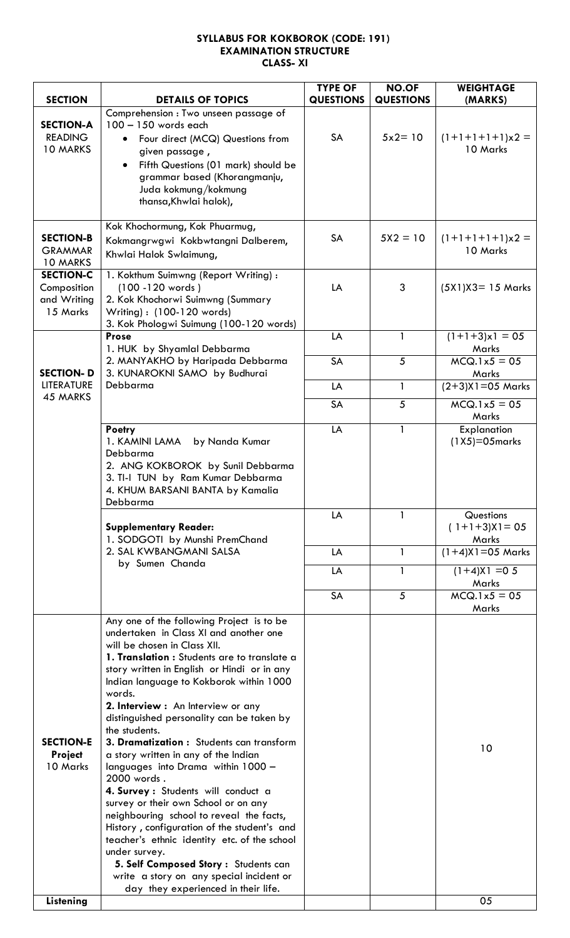## **SYLLABUS FOR KOKBOROK (CODE: 191) EXAMINATION STRUCTURE CLASS- XI**

| Comprehension : Two unseen passage of<br><b>SECTION-A</b><br>100 - 150 words each<br>$5x2 = 10$<br><b>READING</b><br>SA<br>$(1+1+1+1)x2 =$<br>Four direct (MCQ) Questions from<br>10 Marks<br>10 MARKS<br>given passage,<br>Fifth Questions (01 mark) should be<br>$\bullet$<br>grammar based (Khorangmanju,<br>Juda kokmung/kokmung<br>thansa, Khwlai halok),<br>Kok Khochormung, Kok Phuarmug,<br>SA<br><b>SECTION-B</b><br>$5X2 = 10$<br>$(1+1+1+1)x2 =$<br>Kokmangrwgwi Kokbwtangni Dalberem,<br>10 Marks<br><b>GRAMMAR</b><br>Khwlai Halok Swlaimung,<br>10 MARKS<br><b>SECTION-C</b><br>1. Kokthum Suimwng (Report Writing) :<br>(100 - 120 words)<br>LA<br>3<br>$(5X1)X3 = 15$ Marks<br>Composition<br>2. Kok Khochorwi Suimwng (Summary<br>and Writing<br>15 Marks<br>Writing): (100-120 words)<br>3. Kok Phologwi Suimung (100-120 words)<br>$(1+1+3)x1 = 05$<br>LA<br><b>Prose</b><br>1<br>Marks<br>1. HUK by Shyamlal Debbarma<br><b>SA</b><br>5<br>$MCQ.1x5 = 05$<br>2. MANYAKHO by Haripada Debbarma<br><b>SECTION-D</b><br>3. KUNAROKNI SAMO by Budhurai<br>Marks<br><b>LITERATURE</b><br>Debbarma<br>$\mathbf{1}$<br>$(2+3)$ X1=05 Marks<br>LA<br>45 MARKS<br>SA<br>5<br>$MCQ.1x5 = 05$<br>Marks<br>LA<br>Poetry<br>1<br>Explanation<br>$(1X5)=05$ marks<br>1. KAMINI LAMA<br>by Nanda Kumar<br>Debbarma<br>2. ANG KOKBOROK by Sunil Debbarma<br>3. TI-I TUN by Ram Kumar Debbarma<br>4. KHUM BARSANI BANTA by Kamalia<br>Debbarma<br>LA<br>1<br>Questions<br>$(1+1+3)X = 05$<br><b>Supplementary Reader:</b><br>1. SODGOTI by Munshi PremChand<br>Marks<br>$(1+4)X$ 1=05 Marks<br>2. SAL KWBANGMANI SALSA<br>$\mathbf{1}$<br>LA<br>by Sumen Chanda<br>$(1+4)X1 = 05$<br>LA<br>1<br>Marks<br>$MCQ.1x5 = 05$<br>SA<br>5<br>Marks<br>Any one of the following Project is to be<br>undertaken in Class XI and another one<br>will be chosen in Class XII.<br>1. Translation : Students are to translate a<br>story written in English or Hindi or in any<br>Indian language to Kokborok within 1000<br>words.<br>2. Interview : An Interview or any<br>distinguished personality can be taken by<br>the students.<br><b>SECTION-E</b><br>3. Dramatization: Students can transform<br>10<br><b>Project</b><br>a story written in any of the Indian<br>10 Marks<br>languages into Drama within 1000 -<br>2000 words.<br>4. Survey : Students will conduct a<br>survey or their own School or on any<br>neighbouring school to reveal the facts,<br>History, configuration of the student's and<br>teacher's ethnic identity etc. of the school<br>under survey.<br>5. Self Composed Story: Students can<br>write a story on any special incident or<br>day they experienced in their life. |                |                          | <b>TYPE OF</b>   | NO.OF            | <b>WEIGHTAGE</b> |
|------------------------------------------------------------------------------------------------------------------------------------------------------------------------------------------------------------------------------------------------------------------------------------------------------------------------------------------------------------------------------------------------------------------------------------------------------------------------------------------------------------------------------------------------------------------------------------------------------------------------------------------------------------------------------------------------------------------------------------------------------------------------------------------------------------------------------------------------------------------------------------------------------------------------------------------------------------------------------------------------------------------------------------------------------------------------------------------------------------------------------------------------------------------------------------------------------------------------------------------------------------------------------------------------------------------------------------------------------------------------------------------------------------------------------------------------------------------------------------------------------------------------------------------------------------------------------------------------------------------------------------------------------------------------------------------------------------------------------------------------------------------------------------------------------------------------------------------------------------------------------------------------------------------------------------------------------------------------------------------------------------------------------------------------------------------------------------------------------------------------------------------------------------------------------------------------------------------------------------------------------------------------------------------------------------------------------------------------------------------------------------------------------------------------------------------------------------------------------------------------------------------------------------------------------------------------------------------------------------------------------------------------------------------------------------------------------|----------------|--------------------------|------------------|------------------|------------------|
|                                                                                                                                                                                                                                                                                                                                                                                                                                                                                                                                                                                                                                                                                                                                                                                                                                                                                                                                                                                                                                                                                                                                                                                                                                                                                                                                                                                                                                                                                                                                                                                                                                                                                                                                                                                                                                                                                                                                                                                                                                                                                                                                                                                                                                                                                                                                                                                                                                                                                                                                                                                                                                                                                                      | <b>SECTION</b> | <b>DETAILS OF TOPICS</b> | <b>QUESTIONS</b> | <b>QUESTIONS</b> | (MARKS)          |
|                                                                                                                                                                                                                                                                                                                                                                                                                                                                                                                                                                                                                                                                                                                                                                                                                                                                                                                                                                                                                                                                                                                                                                                                                                                                                                                                                                                                                                                                                                                                                                                                                                                                                                                                                                                                                                                                                                                                                                                                                                                                                                                                                                                                                                                                                                                                                                                                                                                                                                                                                                                                                                                                                                      |                |                          |                  |                  |                  |
|                                                                                                                                                                                                                                                                                                                                                                                                                                                                                                                                                                                                                                                                                                                                                                                                                                                                                                                                                                                                                                                                                                                                                                                                                                                                                                                                                                                                                                                                                                                                                                                                                                                                                                                                                                                                                                                                                                                                                                                                                                                                                                                                                                                                                                                                                                                                                                                                                                                                                                                                                                                                                                                                                                      |                |                          |                  |                  |                  |
|                                                                                                                                                                                                                                                                                                                                                                                                                                                                                                                                                                                                                                                                                                                                                                                                                                                                                                                                                                                                                                                                                                                                                                                                                                                                                                                                                                                                                                                                                                                                                                                                                                                                                                                                                                                                                                                                                                                                                                                                                                                                                                                                                                                                                                                                                                                                                                                                                                                                                                                                                                                                                                                                                                      |                |                          |                  |                  |                  |
|                                                                                                                                                                                                                                                                                                                                                                                                                                                                                                                                                                                                                                                                                                                                                                                                                                                                                                                                                                                                                                                                                                                                                                                                                                                                                                                                                                                                                                                                                                                                                                                                                                                                                                                                                                                                                                                                                                                                                                                                                                                                                                                                                                                                                                                                                                                                                                                                                                                                                                                                                                                                                                                                                                      |                |                          |                  |                  |                  |
|                                                                                                                                                                                                                                                                                                                                                                                                                                                                                                                                                                                                                                                                                                                                                                                                                                                                                                                                                                                                                                                                                                                                                                                                                                                                                                                                                                                                                                                                                                                                                                                                                                                                                                                                                                                                                                                                                                                                                                                                                                                                                                                                                                                                                                                                                                                                                                                                                                                                                                                                                                                                                                                                                                      |                |                          |                  |                  |                  |
|                                                                                                                                                                                                                                                                                                                                                                                                                                                                                                                                                                                                                                                                                                                                                                                                                                                                                                                                                                                                                                                                                                                                                                                                                                                                                                                                                                                                                                                                                                                                                                                                                                                                                                                                                                                                                                                                                                                                                                                                                                                                                                                                                                                                                                                                                                                                                                                                                                                                                                                                                                                                                                                                                                      |                |                          |                  |                  |                  |
|                                                                                                                                                                                                                                                                                                                                                                                                                                                                                                                                                                                                                                                                                                                                                                                                                                                                                                                                                                                                                                                                                                                                                                                                                                                                                                                                                                                                                                                                                                                                                                                                                                                                                                                                                                                                                                                                                                                                                                                                                                                                                                                                                                                                                                                                                                                                                                                                                                                                                                                                                                                                                                                                                                      |                |                          |                  |                  |                  |
|                                                                                                                                                                                                                                                                                                                                                                                                                                                                                                                                                                                                                                                                                                                                                                                                                                                                                                                                                                                                                                                                                                                                                                                                                                                                                                                                                                                                                                                                                                                                                                                                                                                                                                                                                                                                                                                                                                                                                                                                                                                                                                                                                                                                                                                                                                                                                                                                                                                                                                                                                                                                                                                                                                      |                |                          |                  |                  |                  |
|                                                                                                                                                                                                                                                                                                                                                                                                                                                                                                                                                                                                                                                                                                                                                                                                                                                                                                                                                                                                                                                                                                                                                                                                                                                                                                                                                                                                                                                                                                                                                                                                                                                                                                                                                                                                                                                                                                                                                                                                                                                                                                                                                                                                                                                                                                                                                                                                                                                                                                                                                                                                                                                                                                      |                |                          |                  |                  |                  |
|                                                                                                                                                                                                                                                                                                                                                                                                                                                                                                                                                                                                                                                                                                                                                                                                                                                                                                                                                                                                                                                                                                                                                                                                                                                                                                                                                                                                                                                                                                                                                                                                                                                                                                                                                                                                                                                                                                                                                                                                                                                                                                                                                                                                                                                                                                                                                                                                                                                                                                                                                                                                                                                                                                      |                |                          |                  |                  |                  |
|                                                                                                                                                                                                                                                                                                                                                                                                                                                                                                                                                                                                                                                                                                                                                                                                                                                                                                                                                                                                                                                                                                                                                                                                                                                                                                                                                                                                                                                                                                                                                                                                                                                                                                                                                                                                                                                                                                                                                                                                                                                                                                                                                                                                                                                                                                                                                                                                                                                                                                                                                                                                                                                                                                      |                |                          |                  |                  |                  |
|                                                                                                                                                                                                                                                                                                                                                                                                                                                                                                                                                                                                                                                                                                                                                                                                                                                                                                                                                                                                                                                                                                                                                                                                                                                                                                                                                                                                                                                                                                                                                                                                                                                                                                                                                                                                                                                                                                                                                                                                                                                                                                                                                                                                                                                                                                                                                                                                                                                                                                                                                                                                                                                                                                      |                |                          |                  |                  |                  |
|                                                                                                                                                                                                                                                                                                                                                                                                                                                                                                                                                                                                                                                                                                                                                                                                                                                                                                                                                                                                                                                                                                                                                                                                                                                                                                                                                                                                                                                                                                                                                                                                                                                                                                                                                                                                                                                                                                                                                                                                                                                                                                                                                                                                                                                                                                                                                                                                                                                                                                                                                                                                                                                                                                      |                |                          |                  |                  |                  |
|                                                                                                                                                                                                                                                                                                                                                                                                                                                                                                                                                                                                                                                                                                                                                                                                                                                                                                                                                                                                                                                                                                                                                                                                                                                                                                                                                                                                                                                                                                                                                                                                                                                                                                                                                                                                                                                                                                                                                                                                                                                                                                                                                                                                                                                                                                                                                                                                                                                                                                                                                                                                                                                                                                      | Listening      |                          |                  |                  | 05               |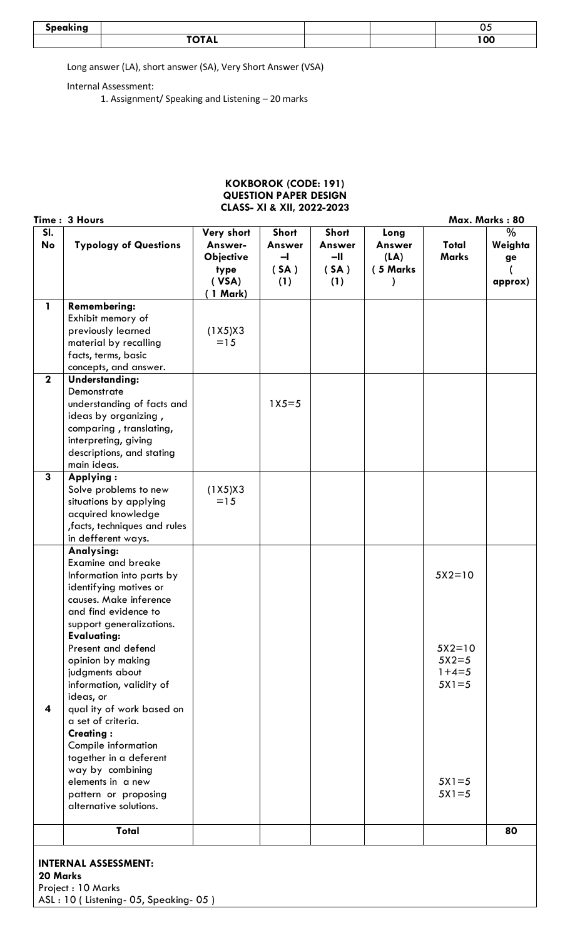| Snankinn |                                                                                        |  | v.  |
|----------|----------------------------------------------------------------------------------------|--|-----|
|          | $\blacksquare \blacktriangle \blacksquare \blacktriangle \blacksquare$<br><b>IVIAL</b> |  | 100 |

Long answer (LA), short answer (SA), Very Short Answer (VSA)

Internal Assessment:

1. Assignment/ Speaking and Listening – 20 marks

## **KOKBOROK (CODE: 191) QUESTION PAPER DESIGN CLASS- XI & XII, 2022-2023**

|              | Time: 3 Hours                                                                                                                                                                                    |                                                                        |                                                         |                                                |                                    |                                           | Max. Marks: 80                   |
|--------------|--------------------------------------------------------------------------------------------------------------------------------------------------------------------------------------------------|------------------------------------------------------------------------|---------------------------------------------------------|------------------------------------------------|------------------------------------|-------------------------------------------|----------------------------------|
| SI.<br>No    | <b>Typology of Questions</b>                                                                                                                                                                     | Very short<br>Answer-<br><b>Objective</b><br>type<br>( VSA)<br>1 Mark) | Short<br><b>Answer</b><br>$\blacksquare$<br>(SA)<br>(1) | <b>Short</b><br>Answer<br>$-II$<br>(SA)<br>(1) | Long<br>Answer<br>(LA)<br>(5 Marks | Total<br><b>Marks</b>                     | $\%$<br>Weighta<br>ge<br>approx) |
| $\mathbf{1}$ | <b>Remembering:</b><br>Exhibit memory of<br>previously learned<br>material by recalling<br>facts, terms, basic                                                                                   | (1X5)X3<br>$=15$                                                       |                                                         |                                                |                                    |                                           |                                  |
|              | concepts, and answer.                                                                                                                                                                            |                                                                        |                                                         |                                                |                                    |                                           |                                  |
| $\mathbf 2$  | <b>Understanding:</b><br>Demonstrate<br>understanding of facts and<br>ideas by organizing,<br>comparing, translating,<br>interpreting, giving<br>descriptions, and stating<br>main ideas.        |                                                                        | $1X5 = 5$                                               |                                                |                                    |                                           |                                  |
| 3            | Applying:<br>Solve problems to new<br>situations by applying<br>acquired knowledge<br>, facts, techniques and rules<br>in defferent ways.                                                        | (1X5)X3<br>$=15$                                                       |                                                         |                                                |                                    |                                           |                                  |
|              | Analysing:<br><b>Examine and breake</b><br>Information into parts by<br>identifying motives or<br>causes. Make inference<br>and find evidence to<br>support generalizations.                     |                                                                        |                                                         |                                                |                                    | $5X2=10$                                  |                                  |
| 4            | <b>Evaluating:</b><br>Present and defend<br>opinion by making<br>judgments about<br>information, validity of<br>ideas, or<br>qual ity of work based on<br>a set of criteria.<br><b>Creating:</b> |                                                                        |                                                         |                                                |                                    | $5X2=10$<br>$5X2=5$<br>$1+4=5$<br>$5X1=5$ |                                  |
|              | Compile information<br>together in a deferent<br>way by combining<br>elements in a new<br>pattern or proposing<br>alternative solutions.                                                         |                                                                        |                                                         |                                                |                                    | $5X1=5$<br>$5X1=5$                        |                                  |
|              | <b>Total</b>                                                                                                                                                                                     |                                                                        |                                                         |                                                |                                    |                                           | 80                               |
|              | <b>INTERNAL ASSESSMENT:</b><br>20 Marks<br>Project : 10 Marks<br>ASL: 10 (Listening- 05, Speaking- 05)                                                                                           |                                                                        |                                                         |                                                |                                    |                                           |                                  |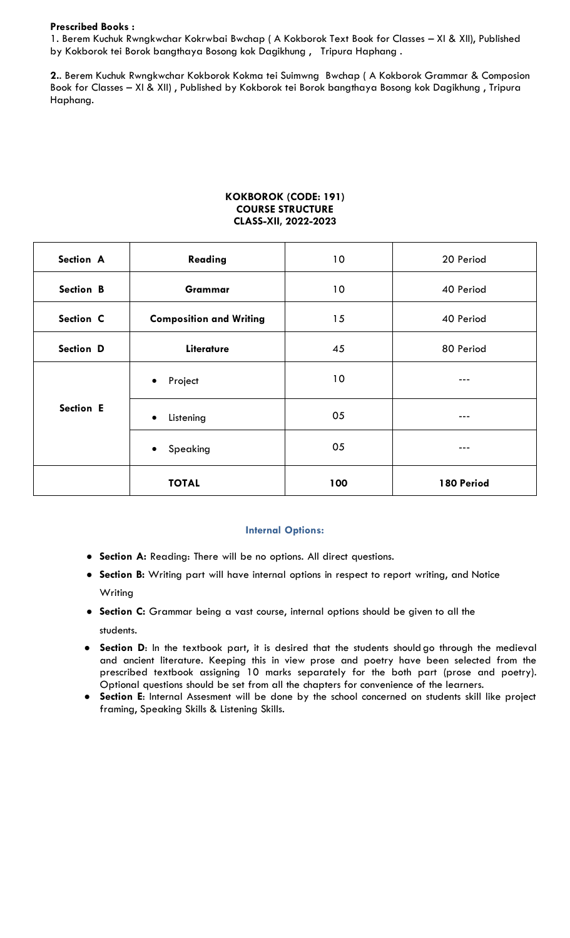#### **Prescribed Books :**

1. Berem Kuchuk Rwngkwchar Kokrwbai Bwchap ( A Kokborok Text Book for Classes – XI & XII), Published by Kokborok tei Borok bangthaya Bosong kok Dagikhung , Tripura Haphang .

**2.**. Berem Kuchuk Rwngkwchar Kokborok Kokma tei Suimwng Bwchap ( A Kokborok Grammar & Composion Book for Classes – XI & XII) , Published by Kokborok tei Borok bangthaya Bosong kok Dagikhung , Tripura Haphang.

#### **KOKBOROK (CODE: 191) COURSE STRUCTURE CLASS-XII, 2022-2023**

| Section A | Reading                        | 10 <sup>°</sup> | 20 Period  |
|-----------|--------------------------------|-----------------|------------|
| Section B | Grammar                        |                 | 40 Period  |
| Section C | <b>Composition and Writing</b> |                 | 40 Period  |
| Section D | Literature                     | 45              | 80 Period  |
|           | Project<br>$\bullet$           | 10              | $--$       |
| Section E | Listening<br>$\bullet$         | 05              | ---        |
|           | Speaking<br>$\bullet$          | 05              | $-- -$     |
|           | <b>TOTAL</b>                   | 100             | 180 Period |

#### **Internal Options:**

- **Section A:** Reading: There will be no options. All direct questions.
- **Section B:** Writing part will have internal options in respect to report writing, and Notice Writing
- **Section C:** Grammar being a vast course, internal options should be given to all the students.
- **Section D**: In the textbook part, it is desired that the students should go through the medieval and ancient literature. Keeping this in view prose and poetry have been selected from the prescribed textbook assigning 10 marks separately for the both part (prose and poetry). Optional questions should be set from all the chapters for convenience of the learners.
- **Section E**: Internal Assesment will be done by the school concerned on students skill like project framing, Speaking Skills & Listening Skills.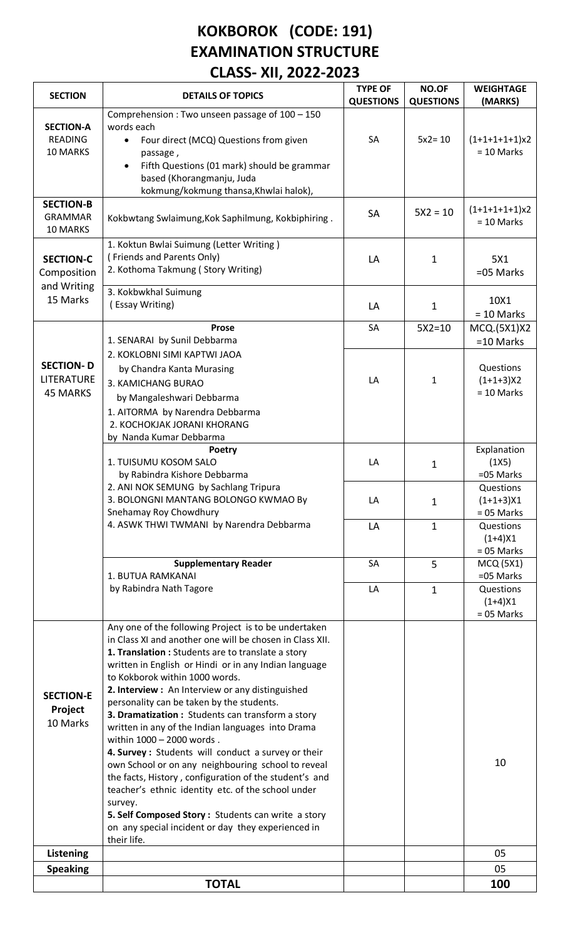# **KOKBOROK (CODE: 191) EXAMINATION STRUCTURE CLASS- XII, 2022-2023**

| <b>SECTION</b>                                 | <b>DETAILS OF TOPICS</b>                                                                                                                                                                                                                                                                                                                                                                                                                                                                                                                                                                                                                                                                                                                                                                                                                                                     | <b>TYPE OF</b><br><b>QUESTIONS</b> | NO.OF<br><b>QUESTIONS</b> | <b>WEIGHTAGE</b><br>(MARKS)              |
|------------------------------------------------|------------------------------------------------------------------------------------------------------------------------------------------------------------------------------------------------------------------------------------------------------------------------------------------------------------------------------------------------------------------------------------------------------------------------------------------------------------------------------------------------------------------------------------------------------------------------------------------------------------------------------------------------------------------------------------------------------------------------------------------------------------------------------------------------------------------------------------------------------------------------------|------------------------------------|---------------------------|------------------------------------------|
| <b>SECTION-A</b><br><b>READING</b><br>10 MARKS | Comprehension: Two unseen passage of 100 - 150<br>words each<br>Four direct (MCQ) Questions from given<br>passage,<br>Fifth Questions (01 mark) should be grammar<br>$\bullet$<br>based (Khorangmanju, Juda<br>kokmung/kokmung thansa, Khwlai halok),                                                                                                                                                                                                                                                                                                                                                                                                                                                                                                                                                                                                                        | SA                                 | $5x2 = 10$                | $(1+1+1+1+1)x$<br>$= 10$ Marks           |
| <b>SECTION-B</b><br><b>GRAMMAR</b><br>10 MARKS | Kokbwtang Swlaimung, Kok Saphilmung, Kokbiphiring.                                                                                                                                                                                                                                                                                                                                                                                                                                                                                                                                                                                                                                                                                                                                                                                                                           | <b>SA</b>                          | $5X2 = 10$                | $(1+1+1+1+1)x2$<br>$= 10$ Marks          |
| <b>SECTION-C</b><br>Composition<br>and Writing | 1. Koktun Bwlai Suimung (Letter Writing)<br>(Friends and Parents Only)<br>2. Kothoma Takmung (Story Writing)                                                                                                                                                                                                                                                                                                                                                                                                                                                                                                                                                                                                                                                                                                                                                                 | LA                                 | $\mathbf{1}$              | 5X1<br>=05 Marks                         |
| 15 Marks                                       | 3. Kokbwkhal Suimung<br>(Essay Writing)                                                                                                                                                                                                                                                                                                                                                                                                                                                                                                                                                                                                                                                                                                                                                                                                                                      | LA                                 | $\mathbf{1}$              | 10X1<br>$= 10$ Marks                     |
|                                                | Prose<br>1. SENARAI by Sunil Debbarma                                                                                                                                                                                                                                                                                                                                                                                                                                                                                                                                                                                                                                                                                                                                                                                                                                        | SA                                 | $5X2=10$                  | MCQ.(5X1)X2<br>$=10$ Marks               |
| <b>SECTION-D</b><br>LITERATURE<br>45 MARKS     | 2. KOKLOBNI SIMI KAPTWI JAOA<br>by Chandra Kanta Murasing<br>3. KAMICHANG BURAO<br>by Mangaleshwari Debbarma<br>1. AITORMA by Narendra Debbarma<br>2. KOCHOKJAK JORANI KHORANG<br>by Nanda Kumar Debbarma                                                                                                                                                                                                                                                                                                                                                                                                                                                                                                                                                                                                                                                                    | LA                                 | $\mathbf{1}$              | Questions<br>$(1+1+3)X2$<br>$= 10$ Marks |
|                                                | Poetry<br>1. TUISUMU KOSOM SALO<br>by Rabindra Kishore Debbarma                                                                                                                                                                                                                                                                                                                                                                                                                                                                                                                                                                                                                                                                                                                                                                                                              | LA                                 | $\mathbf 1$               | Explanation<br>(1X5)<br>=05 Marks        |
|                                                | 2. ANI NOK SEMUNG by Sachlang Tripura<br>3. BOLONGNI MANTANG BOLONGO KWMAO By<br>Snehamay Roy Chowdhury                                                                                                                                                                                                                                                                                                                                                                                                                                                                                                                                                                                                                                                                                                                                                                      | LA                                 | $\mathbf{1}$              | Questions<br>$(1+1+3)X1$<br>$= 05$ Marks |
|                                                | 4. ASWK THWI TWMANI by Narendra Debbarma                                                                                                                                                                                                                                                                                                                                                                                                                                                                                                                                                                                                                                                                                                                                                                                                                                     | LA                                 | $\mathbf{1}$              | Questions<br>$(1+4)X1$<br>$= 05$ Marks   |
|                                                | <b>Supplementary Reader</b><br>1. BUTUA RAMKANAI                                                                                                                                                                                                                                                                                                                                                                                                                                                                                                                                                                                                                                                                                                                                                                                                                             | SA                                 | 5                         | <b>MCQ (5X1)</b><br>=05 Marks            |
|                                                | by Rabindra Nath Tagore                                                                                                                                                                                                                                                                                                                                                                                                                                                                                                                                                                                                                                                                                                                                                                                                                                                      | LA                                 | $\mathbf{1}$              | Questions<br>$(1+4)X1$<br>$= 05$ Marks   |
| <b>SECTION-E</b><br>Project<br>10 Marks        | Any one of the following Project is to be undertaken<br>in Class XI and another one will be chosen in Class XII.<br>1. Translation : Students are to translate a story<br>written in English or Hindi or in any Indian language<br>to Kokborok within 1000 words.<br>2. Interview : An Interview or any distinguished<br>personality can be taken by the students.<br>3. Dramatization : Students can transform a story<br>written in any of the Indian languages into Drama<br>within 1000 - 2000 words.<br>4. Survey : Students will conduct a survey or their<br>own School or on any neighbouring school to reveal<br>the facts, History, configuration of the student's and<br>teacher's ethnic identity etc. of the school under<br>survey.<br>5. Self Composed Story: Students can write a story<br>on any special incident or day they experienced in<br>their life. |                                    |                           | 10                                       |
| Listening                                      |                                                                                                                                                                                                                                                                                                                                                                                                                                                                                                                                                                                                                                                                                                                                                                                                                                                                              |                                    |                           | 05                                       |
| <b>Speaking</b>                                |                                                                                                                                                                                                                                                                                                                                                                                                                                                                                                                                                                                                                                                                                                                                                                                                                                                                              |                                    |                           | 05                                       |
|                                                | <b>TOTAL</b>                                                                                                                                                                                                                                                                                                                                                                                                                                                                                                                                                                                                                                                                                                                                                                                                                                                                 |                                    |                           | 100                                      |